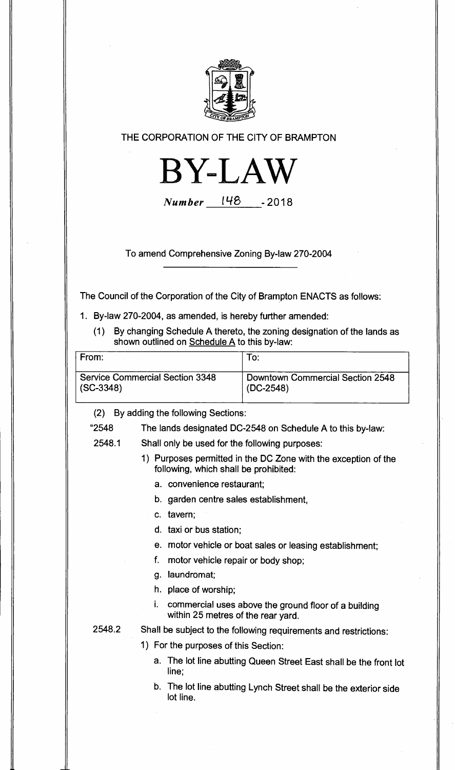

## **THE CORPORATION OF THE CITY OF BRAMPTON**



**Number 1 1-18 -2018** 

**To amend Comprehensive Zoning** By-law 270-2004

The Council of the Corporation of the City of Brampton ENACTS as follows:

- 1. By-law 270-2004, as amended, is hereby further amended:
	- (1) By changing Schedule A thereto, the zoning designation of the lands as shown outlined on Schedule A to this by-law:

| From:                                  | To:                              |
|----------------------------------------|----------------------------------|
| <b>Service Commercial Section 3348</b> | Downtown Commercial Section 2548 |
| $(SC-3348)$                            | $(DC-2548)$                      |

(2) By adding the following Sections:

"2548 The lands designated DC-2548 on Schedule A to this by-law:

- 2548.1 Shall only be used for the following purposes:
	- 1) Purposes permitted in the DC Zone with the exception of the following, which shall be prohibited:
		- a. convenience restaurant;
		- b. garden centre sales establishment,
		- c. tavern;
		- d. taxi or bus station;
		- e. motor vehicle or boat sales or leasing establishment;
		- f. motor vehicle repair or body shop;
		- g. laundromat;
		- h. place of worship;
		- i. commercial uses above the ground floor of a building within 25 metres of the rear yard.

- 2548.2 Shall be subject to the following requirements and restrictions:
	- 1) For the purposes of this Section:
		- a. The lot line abutting Queen Street East shall be the front lot line;
		- b. The lot line abutting Lynch Street shall be the exterior side lot line.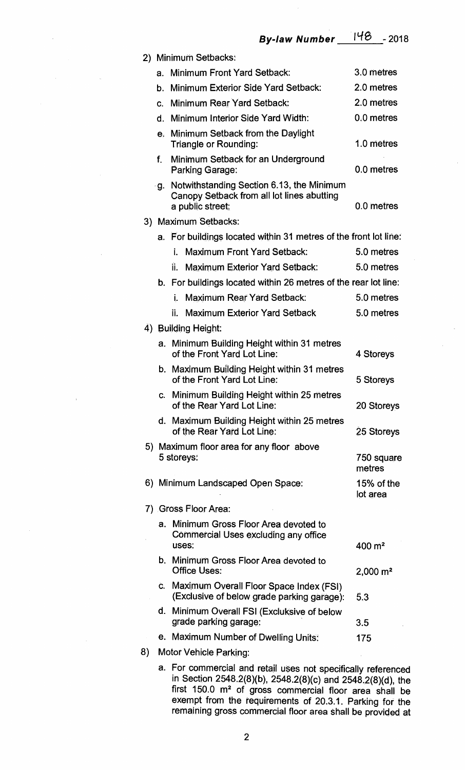**By-law Number <sup>I</sup> tle -2018** 

| 2) | <b>Minimum Setbacks:</b> |                                                                                                             |                        |  |  |  |
|----|--------------------------|-------------------------------------------------------------------------------------------------------------|------------------------|--|--|--|
|    | a.                       | <b>Minimum Front Yard Setback:</b>                                                                          | 3.0 metres             |  |  |  |
|    | b.                       | Minimum Exterior Side Yard Setback:                                                                         | 2.0 metres             |  |  |  |
|    | C.                       | Minimum Rear Yard Setback:                                                                                  | 2.0 metres             |  |  |  |
|    | d.                       | Minimum Interior Side Yard Width:                                                                           | 0.0 metres             |  |  |  |
|    | e <sub>r</sub>           | Minimum Setback from the Daylight<br><b>Triangle or Rounding:</b>                                           | 1.0 metres             |  |  |  |
|    | f.                       | Minimum Setback for an Underground<br><b>Parking Garage:</b>                                                | 0.0 metres             |  |  |  |
|    | ٠g.                      | Notwithstanding Section 6.13, the Minimum<br>Canopy Setback from all lot lines abutting<br>a public street: | 0.0 metres             |  |  |  |
|    | 3) Maximum Setbacks:     |                                                                                                             |                        |  |  |  |
|    | a.                       | For buildings located within 31 metres of the front lot line:                                               |                        |  |  |  |
|    |                          | <b>Maximum Front Yard Setback:</b><br>İ.                                                                    | 5.0 metres             |  |  |  |
|    |                          | <b>Maximum Exterior Yard Setback:</b><br>ii.                                                                | 5.0 metres             |  |  |  |
|    |                          | b. For buildings located within 26 metres of the rear lot line:                                             |                        |  |  |  |
|    |                          | <b>Maximum Rear Yard Setback:</b><br>İ.                                                                     | 5.0 metres             |  |  |  |
|    |                          | <b>Maximum Exterior Yard Setback</b><br>Ïİ.                                                                 | 5.0 metres             |  |  |  |
|    |                          | 4) Building Height:                                                                                         |                        |  |  |  |
|    |                          | a. Minimum Building Height within 31 metres<br>of the Front Yard Lot Line:                                  | 4 Storeys              |  |  |  |
|    |                          | b. Maximum Building Height within 31 metres<br>of the Front Yard Lot Line:                                  | 5 Storeys              |  |  |  |
|    |                          | c. Minimum Building Height within 25 metres<br>of the Rear Yard Lot Line:                                   | 20 Storeys             |  |  |  |
|    |                          | d. Maximum Building Height within 25 metres<br>of the Rear Yard Lot Line:                                   | 25 Storeys             |  |  |  |
|    |                          | 5) Maximum floor area for any floor above<br>5 storeys:                                                     | 750 square<br>metres   |  |  |  |
|    |                          | 6) Minimum Landscaped Open Space:                                                                           | 15% of the<br>lot area |  |  |  |
|    |                          | 7) Gross Floor Area:                                                                                        |                        |  |  |  |
|    | а.                       | Minimum Gross Floor Area devoted to<br>Commercial Uses excluding any office                                 |                        |  |  |  |
|    | b.                       | uses:<br>Minimum Gross Floor Area devoted to                                                                | 400 m <sup>2</sup>     |  |  |  |
|    |                          | <b>Office Uses:</b>                                                                                         | $2,000 \text{ m}^2$    |  |  |  |
|    | Ċ.                       | Maximum Overall Floor Space Index (FSI)<br>(Exclusive of below grade parking garage):                       | 5.3                    |  |  |  |
|    |                          | d. Minimum Overall FSI (Excluksive of below<br>grade parking garage:                                        | 3.5                    |  |  |  |
|    |                          | e. Maximum Number of Dwelling Units:                                                                        | 175                    |  |  |  |
| 8) |                          | <b>Motor Vehicle Parking:</b>                                                                               |                        |  |  |  |

**a. For commercial and retail uses not specifically referenced in Section 2548.2(8)(b), 2548.2(8)(c) and 2548.2(8)(d), the**  first 150.0 m<sup>2</sup> of gross commercial floor area shall be **exempt from the requirements of 20.3.1. Parking for the remaining gross commercial floor area shall be provided at**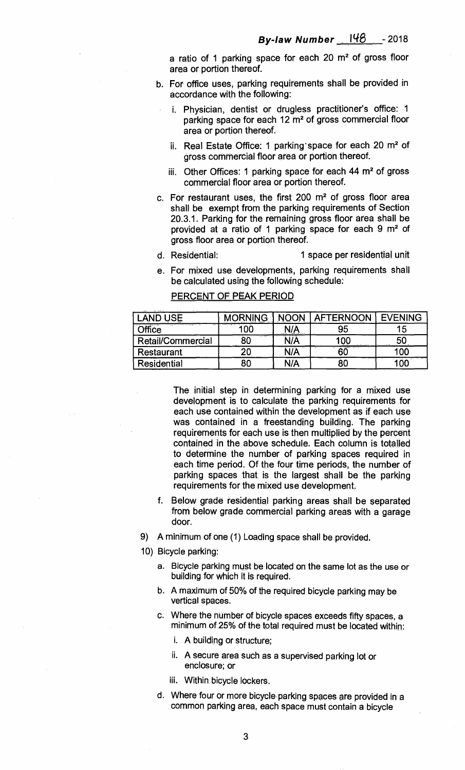**a ratio of 1 parking space for each 20 m2of gross floor area or portion thereof.** 

- **b. For office uses, parking requirements shall be provided in accordance with the following:** 
	- **i. Physician, dentist or drugless practitioner's office: 1 parking space for each 12 m2of gross commercial floor area or portion thereof.**
	- ii. Real Estate Office: 1 parking space for each 20 m<sup>2</sup> of **gross commercial floor area or portion thereof.**
	- iii. Other Offices: 1 parking space for each 44 m<sup>2</sup> of gross **commercial floor area or portion thereof.**
- **c. For restaurant uses, the first 200 m2of gross floor area shall be exempt from the parking requirements of Section 20.3.1. Parking for the remaining gross floor area shall be**  provided at a ratio of 1 parking space for each 9 m<sup>2</sup> of **gross floor area or portion thereof.**
- **d. Residential: 1 space per residential unit**
- **e. For mixed use developments, parking requirements shall be calculated using the following schedule:**

| JSE               | <b>MORNING</b> |      | <b>AFTERNOON</b> | <b>EVENING</b> |
|-------------------|----------------|------|------------------|----------------|
| <b>Office</b>     |                | N/A  | 95               | 15             |
| Retail/Commercial | 80             | \I/A |                  | 50             |
| <b>Restaurant</b> | 20             | N/À  |                  | .oc            |
| Residential       | 80             | N/A  |                  | OC             |

## **PERCENT OF PEAK PERIOD**

**The initial step in determining parking for a mixed use development is to calculate the parking requirements for each use contained within the development as if each use was contained in a freestanding building. The parking requirements for each use is then multiplied by the percent contained in the above schedule. Each column is totalled to determine the number of parking spaces required in each time period. Of the four time periods, the number of parking spaces that is the largest shall be the parking requirements for the mixed use development.** 

- **f. Below grade residential parking areas shall be separated from below grade commercial parking areas with a garage door.**
- **9) A minimum of one (1) Loading space shall be provided.**
- **10) Bicycle parking:** 
	- **a. Bicycle parking must be located on the same lot as the use or building for which it is required.**
	- **b. A maximum of 50% of the required bicycle parking may be vertical spaces.**
	- **c. Where the number of bicycle spaces exceeds fifty spaces, a minimum of 25% of the total required must be located within:** 
		- **i. A building or structure;**
		- **ii. A secure area such as a supervised parking lot or enclosure; or**
		- **iii. Within bicycle lockers.**
	- **d. Where four or more bicycle parking spaces are provided in a common parking area, each space must contain a bicycle**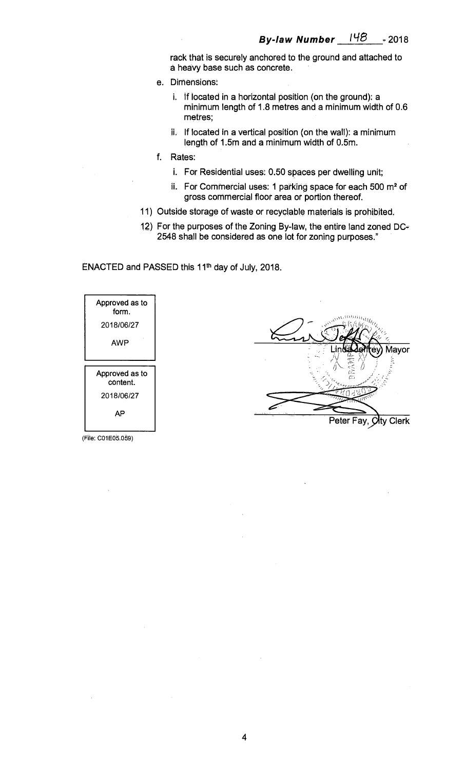rack that is securely anchored to the ground and attached to a heavy base such as concrete.

- e. Dimensions:
	- i. If located in a horizontal position (on the ground): a minimum length of 1.8 metres and a minimum width of 0.6 metres;
	- ii. If located in a vertical position (on the wall): a minimum length of 1.5m and a minimum width of 0.5m.
- f. Rates:
	- i. For Residential uses: 0.50 spaces per dwelling unit;
	- ii. For Commercial uses: 1 parking space for each 500 m<sup>2</sup> of gross commercial floor area or portion thereof.
- 11) Outside storage of waste or recyclable materials is prohibited.
- 12) For the purposes of the Zoning By-law, the entire land zoned  $DC =$ 2548 shall be considered as one lot for zoning purposes."

ENACTED and PASSED this 11th day of July, 2018.



Mavor Peter Fay, *O*lty Clerk

(File: C01E05.059)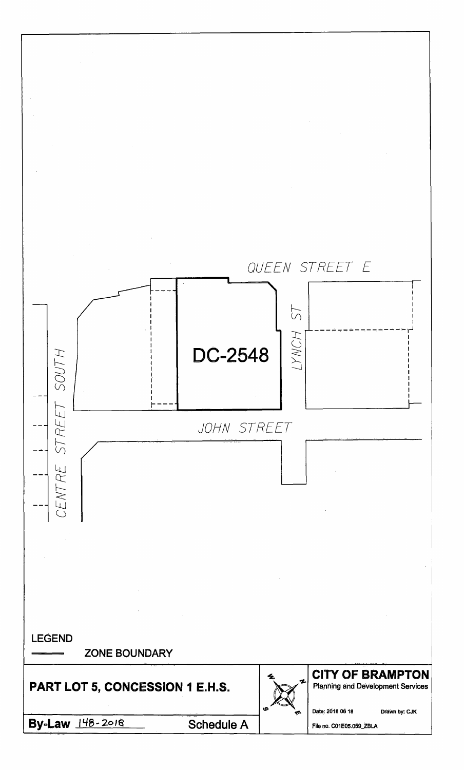